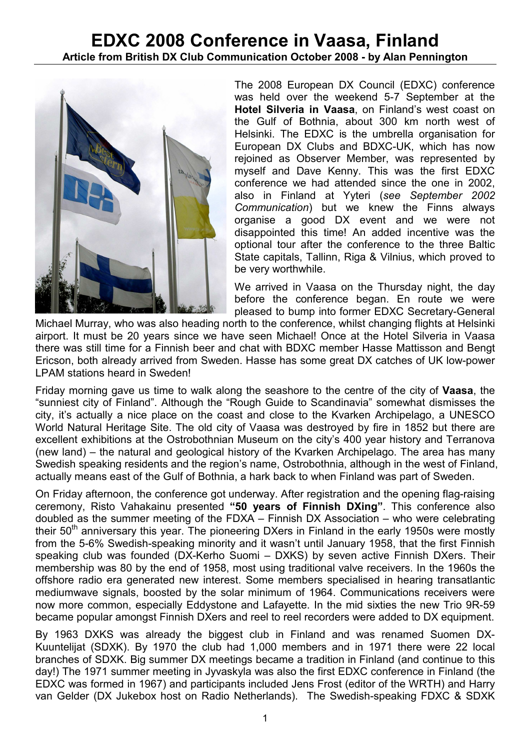

The 2008 European DX Council (EDXC) conference was held over the weekend 5-7 September at the Hotel Silveria in Vaasa, on Finland's west coast on the Gulf of Bothnia, about 300 km north west of Helsinki. The EDXC is the umbrella organisation for European DX Clubs and BDXC-UK, which has now rejoined as Observer Member, was represented by myself and Dave Kenny. This was the first EDXC conference we had attended since the one in 2002, also in Finland at Yyteri (see September 2002 Communication) but we knew the Finns always organise a good DX event and we were not disappointed this time! An added incentive was the optional tour after the conference to the three Baltic State capitals, Tallinn, Riga & Vilnius, which proved to be very worthwhile.

We arrived in Vaasa on the Thursday night, the day before the conference began. En route we were pleased to bump into former EDXC Secretary-General

Michael Murray, who was also heading north to the conference, whilst changing flights at Helsinki airport. It must be 20 years since we have seen Michael! Once at the Hotel Silveria in Vaasa there was still time for a Finnish beer and chat with BDXC member Hasse Mattisson and Bengt Ericson, both already arrived from Sweden. Hasse has some great DX catches of UK low-power LPAM stations heard in Sweden!

Friday morning gave us time to walk along the seashore to the centre of the city of Vaasa, the "sunniest city of Finland". Although the "Rough Guide to Scandinavia" somewhat dismisses the city, it's actually a nice place on the coast and close to the Kvarken Archipelago, a UNESCO World Natural Heritage Site. The old city of Vaasa was destroyed by fire in 1852 but there are excellent exhibitions at the Ostrobothnian Museum on the city's 400 year history and Terranova (new land) – the natural and geological history of the Kvarken Archipelago. The area has many Swedish speaking residents and the region's name, Ostrobothnia, although in the west of Finland, actually means east of the Gulf of Bothnia, a hark back to when Finland was part of Sweden.

On Friday afternoon, the conference got underway. After registration and the opening flag-raising ceremony, Risto Vahakainu presented "50 years of Finnish DXing". This conference also doubled as the summer meeting of the FDXA – Finnish DX Association – who were celebrating their 50<sup>th</sup> anniversary this year. The pioneering DXers in Finland in the early 1950s were mostly from the 5-6% Swedish-speaking minority and it wasn't until January 1958, that the first Finnish speaking club was founded (DX-Kerho Suomi – DXKS) by seven active Finnish DXers. Their membership was 80 by the end of 1958, most using traditional valve receivers. In the 1960s the offshore radio era generated new interest. Some members specialised in hearing transatlantic mediumwave signals, boosted by the solar minimum of 1964. Communications receivers were now more common, especially Eddystone and Lafayette. In the mid sixties the new Trio 9R-59 became popular amongst Finnish DXers and reel to reel recorders were added to DX equipment.

By 1963 DXKS was already the biggest club in Finland and was renamed Suomen DX-Kuuntelijat (SDXK). By 1970 the club had 1,000 members and in 1971 there were 22 local branches of SDXK. Big summer DX meetings became a tradition in Finland (and continue to this day!) The 1971 summer meeting in Jyvaskyla was also the first EDXC conference in Finland (the EDXC was formed in 1967) and participants included Jens Frost (editor of the WRTH) and Harry van Gelder (DX Jukebox host on Radio Netherlands). The Swedish-speaking FDXC & SDXK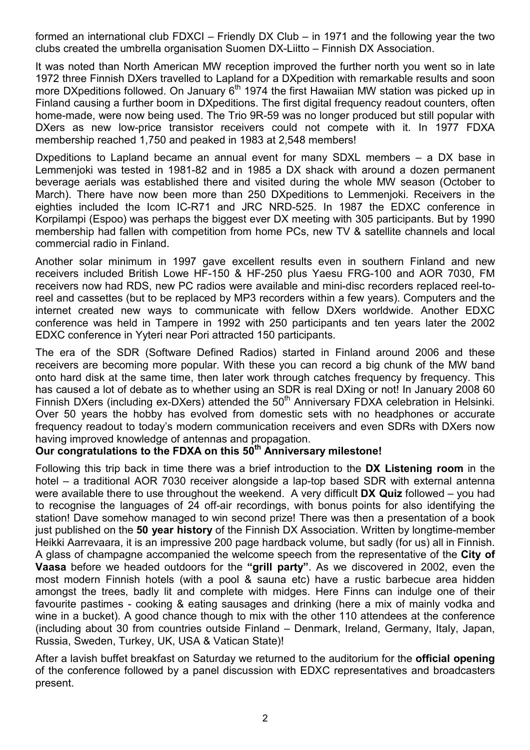formed an international club FDXCI – Friendly DX Club – in 1971 and the following year the two clubs created the umbrella organisation Suomen DX-Liitto – Finnish DX Association.

It was noted than North American MW reception improved the further north you went so in late 1972 three Finnish DXers travelled to Lapland for a DXpedition with remarkable results and soon more DXpeditions followed. On January  $6<sup>th</sup>$  1974 the first Hawaiian MW station was picked up in Finland causing a further boom in DXpeditions. The first digital frequency readout counters, often home-made, were now being used. The Trio 9R-59 was no longer produced but still popular with DXers as new low-price transistor receivers could not compete with it. In 1977 FDXA membership reached 1,750 and peaked in 1983 at 2,548 members!

Dxpeditions to Lapland became an annual event for many SDXL members – a DX base in Lemmenjoki was tested in 1981-82 and in 1985 a DX shack with around a dozen permanent beverage aerials was established there and visited during the whole MW season (October to March). There have now been more than 250 DXpeditions to Lemmenjoki. Receivers in the eighties included the Icom IC-R71 and JRC NRD-525. In 1987 the EDXC conference in Korpilampi (Espoo) was perhaps the biggest ever DX meeting with 305 participants. But by 1990 membership had fallen with competition from home PCs, new TV & satellite channels and local commercial radio in Finland.

Another solar minimum in 1997 gave excellent results even in southern Finland and new receivers included British Lowe HF-150 & HF-250 plus Yaesu FRG-100 and AOR 7030, FM receivers now had RDS, new PC radios were available and mini-disc recorders replaced reel-toreel and cassettes (but to be replaced by MP3 recorders within a few years). Computers and the internet created new ways to communicate with fellow DXers worldwide. Another EDXC conference was held in Tampere in 1992 with 250 participants and ten years later the 2002 EDXC conference in Yyteri near Pori attracted 150 participants.

The era of the SDR (Software Defined Radios) started in Finland around 2006 and these receivers are becoming more popular. With these you can record a big chunk of the MW band onto hard disk at the same time, then later work through catches frequency by frequency. This has caused a lot of debate as to whether using an SDR is real DXing or not! In January 2008 60 Finnish DXers (including ex-DXers) attended the 50<sup>th</sup> Anniversary FDXA celebration in Helsinki. Over 50 years the hobby has evolved from domestic sets with no headphones or accurate frequency readout to today's modern communication receivers and even SDRs with DXers now having improved knowledge of antennas and propagation.

## Our congratulations to the FDXA on this 50<sup>th</sup> Anniversary milestone!

Following this trip back in time there was a brief introduction to the DX Listening room in the hotel – a traditional AOR 7030 receiver alongside a lap-top based SDR with external antenna were available there to use throughout the weekend. A very difficult **DX Quiz** followed – you had to recognise the languages of 24 off-air recordings, with bonus points for also identifying the station! Dave somehow managed to win second prize! There was then a presentation of a book just published on the 50 year history of the Finnish DX Association. Written by longtime-member Heikki Aarrevaara, it is an impressive 200 page hardback volume, but sadly (for us) all in Finnish. A glass of champagne accompanied the welcome speech from the representative of the City of Vaasa before we headed outdoors for the "grill party". As we discovered in 2002, even the most modern Finnish hotels (with a pool & sauna etc) have a rustic barbecue area hidden amongst the trees, badly lit and complete with midges. Here Finns can indulge one of their favourite pastimes - cooking & eating sausages and drinking (here a mix of mainly vodka and wine in a bucket). A good chance though to mix with the other 110 attendees at the conference (including about 30 from countries outside Finland – Denmark, Ireland, Germany, Italy, Japan, Russia, Sweden, Turkey, UK, USA & Vatican State)!

After a lavish buffet breakfast on Saturday we returned to the auditorium for the **official opening** of the conference followed by a panel discussion with EDXC representatives and broadcasters present.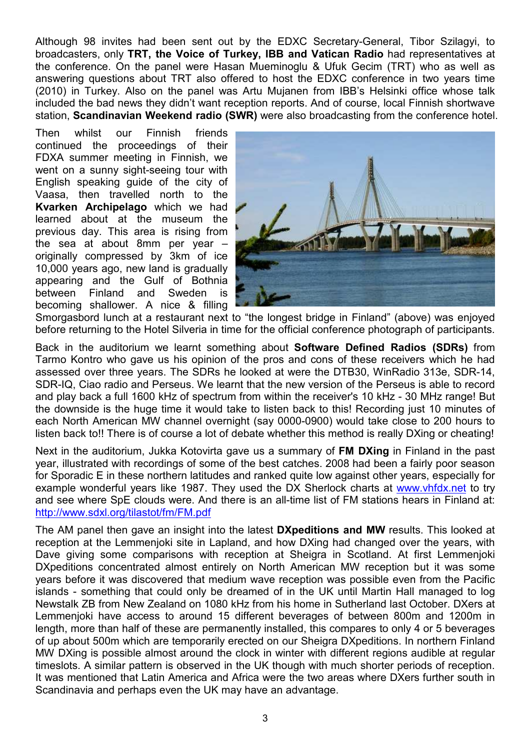Although 98 invites had been sent out by the EDXC Secretary-General, Tibor Szilagyi, to broadcasters, only TRT, the Voice of Turkey, IBB and Vatican Radio had representatives at the conference. On the panel were Hasan Mueminoglu & Ufuk Gecim (TRT) who as well as answering questions about TRT also offered to host the EDXC conference in two years time (2010) in Turkey. Also on the panel was Artu Mujanen from IBB's Helsinki office whose talk included the bad news they didn't want reception reports. And of course, local Finnish shortwave station, Scandinavian Weekend radio (SWR) were also broadcasting from the conference hotel.

Then whilst our Finnish friends continued the proceedings of their FDXA summer meeting in Finnish, we went on a sunny sight-seeing tour with English speaking guide of the city of Vaasa, then travelled north to the Kvarken Archipelago which we had learned about at the museum the previous day. This area is rising from the sea at about 8mm per year – originally compressed by 3km of ice 10,000 years ago, new land is gradually appearing and the Gulf of Bothnia between Finland and Sweden is becoming shallower. A nice & filling



Smorgasbord lunch at a restaurant next to "the longest bridge in Finland" (above) was enjoyed before returning to the Hotel Silveria in time for the official conference photograph of participants.

Back in the auditorium we learnt something about Software Defined Radios (SDRs) from Tarmo Kontro who gave us his opinion of the pros and cons of these receivers which he had assessed over three years. The SDRs he looked at were the DTB30, WinRadio 313e, SDR-14, SDR-IQ, Ciao radio and Perseus. We learnt that the new version of the Perseus is able to record and play back a full 1600 kHz of spectrum from within the receiver's 10 kHz - 30 MHz range! But the downside is the huge time it would take to listen back to this! Recording just 10 minutes of each North American MW channel overnight (say 0000-0900) would take close to 200 hours to listen back to!! There is of course a lot of debate whether this method is really DXing or cheating!

Next in the auditorium, Jukka Kotovirta gave us a summary of FM DXing in Finland in the past year, illustrated with recordings of some of the best catches. 2008 had been a fairly poor season for Sporadic E in these northern latitudes and ranked quite low against other years, especially for example wonderful years like 1987. They used the DX Sherlock charts at www.vhfdx.net to try and see where SpE clouds were. And there is an all-time list of FM stations hears in Finland at: http://www.sdxl.org/tilastot/fm/FM.pdf

The AM panel then gave an insight into the latest **DXpeditions and MW** results. This looked at reception at the Lemmenjoki site in Lapland, and how DXing had changed over the years, with Dave giving some comparisons with reception at Sheigra in Scotland. At first Lemmenjoki DXpeditions concentrated almost entirely on North American MW reception but it was some years before it was discovered that medium wave reception was possible even from the Pacific islands - something that could only be dreamed of in the UK until Martin Hall managed to log Newstalk ZB from New Zealand on 1080 kHz from his home in Sutherland last October. DXers at Lemmenjoki have access to around 15 different beverages of between 800m and 1200m in length, more than half of these are permanently installed, this compares to only 4 or 5 beverages of up about 500m which are temporarily erected on our Sheigra DXpeditions. In northern Finland MW DXing is possible almost around the clock in winter with different regions audible at regular timeslots. A similar pattern is observed in the UK though with much shorter periods of reception. It was mentioned that Latin America and Africa were the two areas where DXers further south in Scandinavia and perhaps even the UK may have an advantage.